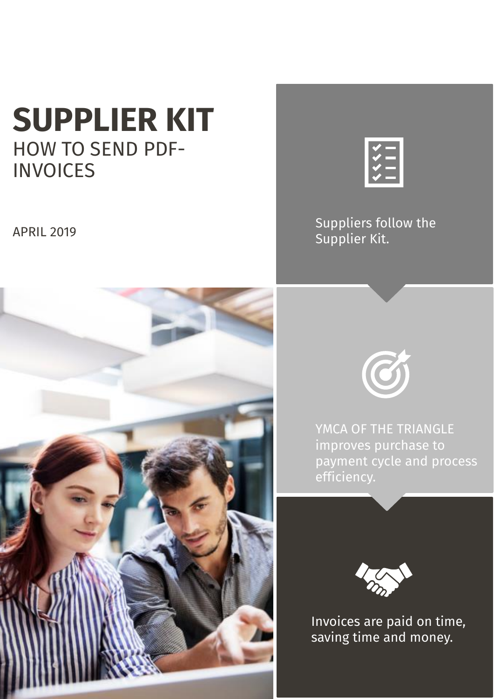# **SUPPLIER KIT** HOW TO SEND PDF-**INVOICES**

APRIL 2019



Suppliers follow the Supplier Kit.





YMCA OF THE TRIANGLE improves purchase to payment cycle and process efficiency.



Invoices are paid on time, saving time and money.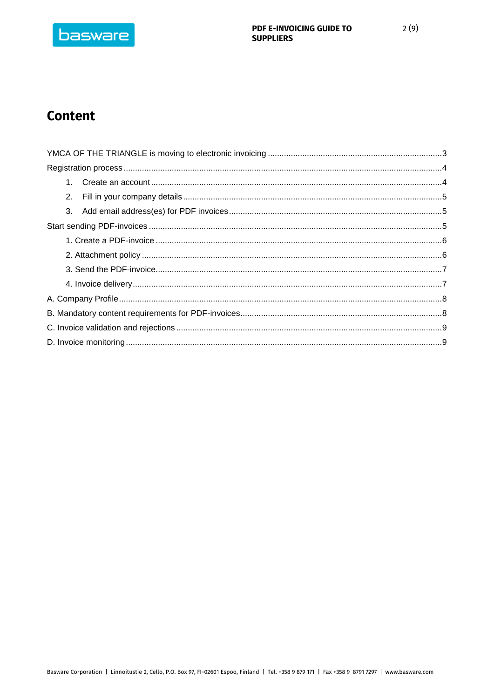

# **Content**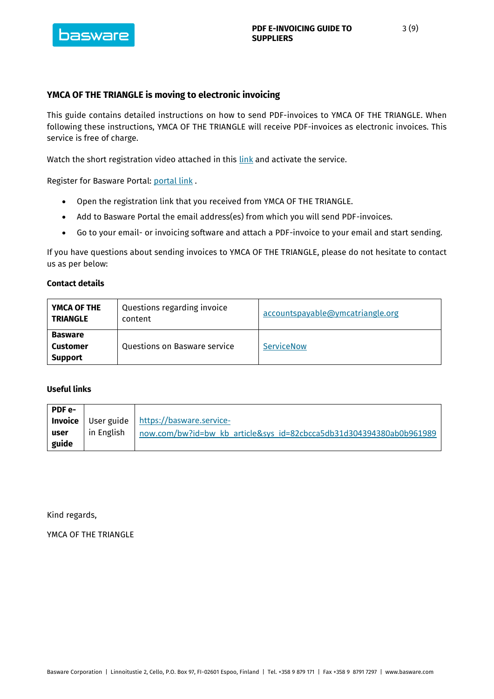

# <span id="page-2-0"></span>**YMCA OF THE TRIANGLE is moving to electronic invoicing**

This guide contains detailed instructions on how to send PDF-invoices to YMCA OF THE TRIANGLE. When following these instructions, YMCA OF THE TRIANGLE will receive PDF-invoices as electronic invoices. This service is free of charge.

Watch the short registration video attached in this [link](https://basware.service-now.com/bw?id=bw_kb_article&sys_id=82cbcca5db31d304394380ab0b961989) and activate the service.

Register for Basware Portal: [portal link](https://r.basware.com/ymcatriangle) .

- Open the registration link that you received from YMCA OF THE TRIANGLE.
- Add to Basware Portal the email address(es) from which you will send PDF-invoices.
- Go to your email- or invoicing software and attach a PDF-invoice to your email and start sending.

If you have questions about sending invoices to YMCA OF THE TRIANGLE, please do not hesitate to contact us as per below:

#### **Contact details**

| YMCA OF THE<br><b>TRIANGLE</b>               | Questions regarding invoice<br>content | accountspayable@ymcatriangle.org |
|----------------------------------------------|----------------------------------------|----------------------------------|
| <b>Basware</b><br>Customer<br><b>Support</b> | Questions on Basware service           | <b>ServiceNow</b>                |

# **Useful links**

| <b>PDF e-</b> |            |                                                                     |
|---------------|------------|---------------------------------------------------------------------|
|               |            | I Invoice   User guide   https://basware.service-                   |
| user          | in English | now.com/bw?id=bw_kb_article&sys_id=82cbcca5db31d304394380ab0b961989 |
| guide         |            |                                                                     |

Kind regards,

YMCA OF THE TRIANGLE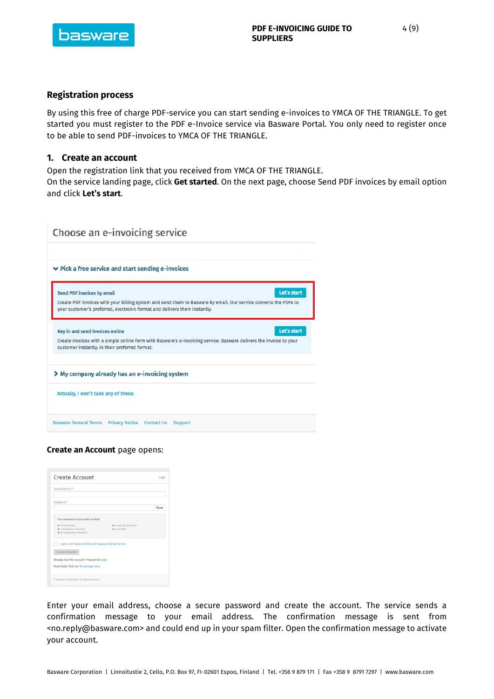

#### <span id="page-3-0"></span>**Registration process**

By using this free of charge PDF-service you can start sending e-invoices to YMCA OF THE TRIANGLE. To get started you must register to the PDF e-Invoice service via Basware Portal. You only need to register once to be able to send PDF-invoices to YMCA OF THE TRIANGLE.

#### <span id="page-3-1"></span>**1. Create an account**

Open the registration link that you received from YMCA OF THE TRIANGLE.

On the service landing page, click **Get started**. On the next page, choose Send PDF invoices by email option and click **Let's start**.

|                                      | Choose an e-invoicing service                                                                                                                                                                 |
|--------------------------------------|-----------------------------------------------------------------------------------------------------------------------------------------------------------------------------------------------|
|                                      |                                                                                                                                                                                               |
|                                      | $\vee$ Pick a free service and start sending e-invoices                                                                                                                                       |
| Send PDF invoices by email           | Let's start                                                                                                                                                                                   |
|                                      | Create PDF invoices with your billing system and send them to Basware by email. Our service converts the PDFs to<br>your customer's preferred, electronic format and delivers them instantly. |
| Key in and send invoices online      | Let's start                                                                                                                                                                                   |
|                                      | Create invoices with a simple online form with Basware's e-invoicing service. Basware delivers the invoice to your<br>customer instantly, in their preferred format.                          |
|                                      | My company already has an e-invoicing system                                                                                                                                                  |
| Actually, I won't take any of these. |                                                                                                                                                                                               |
|                                      | Basware General Terms Privacy Notice Contact Us<br>Support                                                                                                                                    |

#### **Create an Account** page opens:

| Email Address *                                       |                       |      |
|-------------------------------------------------------|-----------------------|------|
|                                                       |                       |      |
| Password <sup>*</sup>                                 |                       |      |
|                                                       |                       | Show |
|                                                       |                       |      |
| Your password must contain at least                   |                       |      |
| @ 10 characters                                       | · a special character |      |
| · a lowercase character                               | · a number            |      |
| · an uppercase character                              |                       |      |
| I agree with General Terms for Basware Portal Service |                       |      |
| <b>Create Account</b>                                 |                       |      |
|                                                       |                       |      |
| Already had the account? Proceed to Login             |                       |      |
| Need help? Visit our Knowledge base                   |                       |      |

Enter your email address, choose a secure password and create the account. The service sends a confirmation message to your email address. The confirmation message is sent from <no.reply@basware.com> and could end up in your spam filter. Open the confirmation message to activate your account.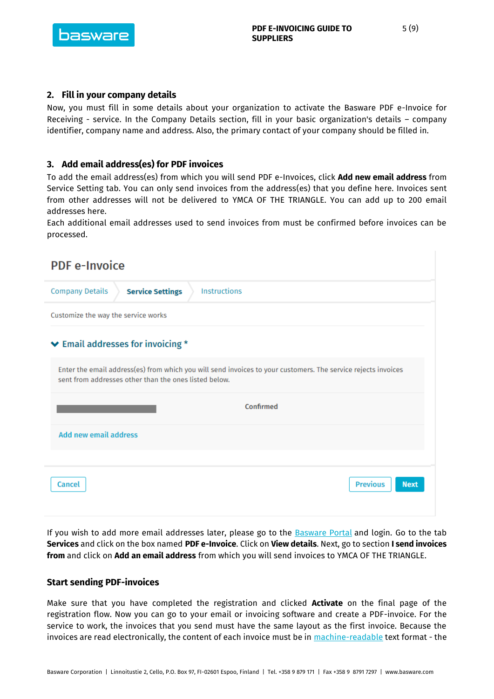

# <span id="page-4-0"></span>**2. Fill in your company details**

Now, you must fill in some details about your organization to activate the Basware PDF e-Invoice for Receiving - service. In the Company Details section, fill in your basic organization's details – company identifier, company name and address. Also, the primary contact of your company should be filled in.

#### <span id="page-4-1"></span>**3. Add email address(es) for PDF invoices**

To add the email address(es) from which you will send PDF e-Invoices, click **Add new email address** from Service Setting tab. You can only send invoices from the address(es) that you define here. Invoices sent from other addresses will not be delivered to YMCA OF THE TRIANGLE. You can add up to 200 email addresses here.

Each additional email addresses used to send invoices from must be confirmed before invoices can be processed.

| <b>PDF</b> e-Invoice                                                                                                                                                   |  |  |  |
|------------------------------------------------------------------------------------------------------------------------------------------------------------------------|--|--|--|
| Instructions<br><b>Company Details</b><br><b>Service Settings</b>                                                                                                      |  |  |  |
| Customize the way the service works                                                                                                                                    |  |  |  |
| $\blacktriangleright$ Email addresses for invoicing $*$                                                                                                                |  |  |  |
| Enter the email address(es) from which you will send invoices to your customers. The service rejects invoices<br>sent from addresses other than the ones listed below. |  |  |  |
| Confirmed                                                                                                                                                              |  |  |  |
| <b>Add new email address</b>                                                                                                                                           |  |  |  |
|                                                                                                                                                                        |  |  |  |
| <b>Previous</b><br><b>Next</b><br>Cancel                                                                                                                               |  |  |  |
|                                                                                                                                                                        |  |  |  |

If you wish to add more email addresses later, please go to the [Basware Portal](https://portal.basware.com/) and login. Go to the tab **Services** and click on the box named **PDF e-Invoice**. Click on **View details**. Next, go to section **I send invoices from** and click on **Add an email address** from which you will send invoices to YMCA OF THE TRIANGLE.

#### <span id="page-4-2"></span>**Start sending PDF-invoices**

Make sure that you have completed the registration and clicked **Activate** on the final page of the registration flow. Now you can go to your email or invoicing software and create a PDF-invoice. For the service to work, the invoices that you send must have the same layout as the first invoice. Because the invoices are read electronically, the content of each invoice must be in [machine-readable](https://basware.service-now.com/bw?id=bw_kb_article&sys_id=69228819db5397c0487cb9836b961936) text format - the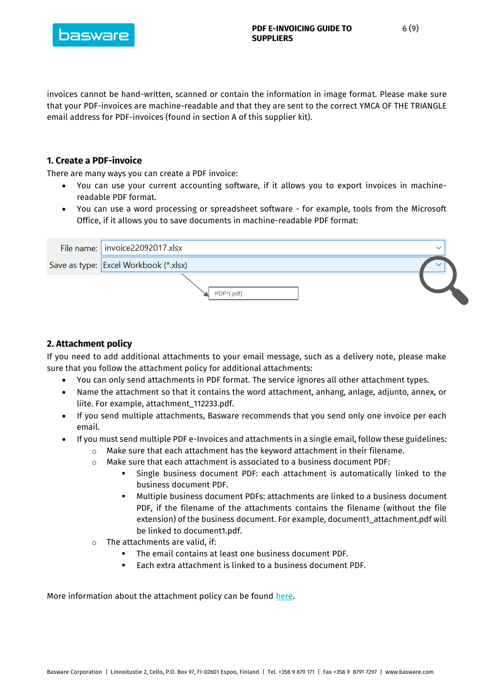

invoices cannot be hand-written, scanned or contain the information in image format. Please make sure that your PDF-invoices are machine-readable and that they are sent to the correct YMCA OF THE TRIANGLE email address for PDF-invoices (found in section A of this supplier kit).

# <span id="page-5-0"></span>**1. Create a PDF-invoice**

There are many ways you can create a PDF invoice:

- You can use your current accounting software, if it allows you to export invoices in machinereadable PDF format.
- You can use a word processing or spreadsheet software for example, tools from the Microsoft Office, if it allows you to save documents in machine-readable PDF format:

| File name:   invoice22092017.xlsx     | $\check{~}$ |
|---------------------------------------|-------------|
| Save as type: Excel Workbook (*.xlsx) |             |
| $PDF*(.pdf)$                          |             |

# <span id="page-5-1"></span>**2. Attachment policy**

If you need to add additional attachments to your email message, such as a delivery note, please make sure that you follow the attachment policy for additional attachments:

- You can only send attachments in PDF format. The service ignores all other attachment types.
- Name the attachment so that it contains the word attachment, anhang, anlage, adjunto, annex, or liite. For example, attachment\_112233.pdf.
- If you send multiple attachments, Basware recommends that you send only one invoice per each email.
- If you must send multiple PDF e-Invoices and attachments in a single email, follow these guidelines:
	- o Make sure that each attachment has the keyword attachment in their filename.
	- o Make sure that each attachment is associated to a business document PDF:
		- Single business document PDF: each attachment is automatically linked to the business document PDF.
		- Multiple business document PDFs: attachments are linked to a business document PDF, if the filename of the attachments contains the filename (without the file extension) of the business document. For example, document1\_attachment.pdf will be linked to document1.pdf.
	- $\circ$  The attachments are valid, if:
		- The email contains at least one business document PDF.
		- Each extra attachment is linked to a business document PDF.

More information about the attachment policy can be found [here.](https://basware.service-now.com/bw?id=bw_kb_article&sys_id=7e45066edb425700394380ab0b961939)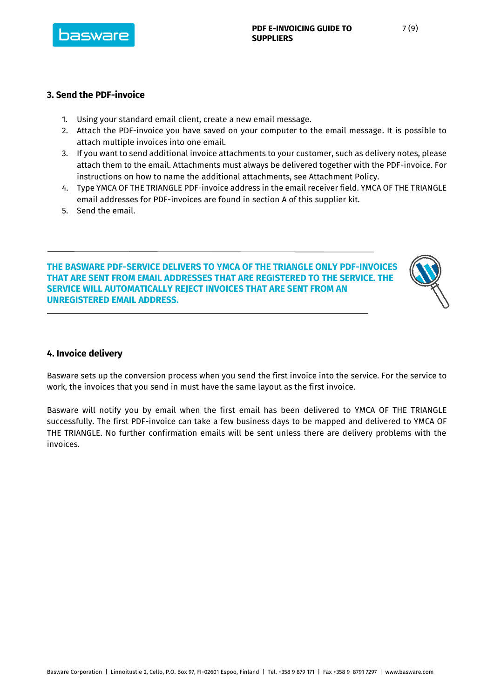

### <span id="page-6-0"></span>**3. Send the PDF-invoice**

- 1. Using your standard email client, create a new email message.
- 2. Attach the PDF-invoice you have saved on your computer to the email message. It is possible to attach multiple invoices into one email.
- 3. If you want to send additional invoice attachments to your customer, such as delivery notes, please attach them to the email. Attachments must always be delivered together with the PDF-invoice. For instructions on how to name the additional attachments, see Attachment Policy.
- 4. Type YMCA OF THE TRIANGLE PDF-invoice address in the email receiver field. YMCA OF THE TRIANGLE email addresses for PDF-invoices are found in section A of this supplier kit.
- 5. Send the email.

**THE BASWARE PDF-SERVICE DELIVERS TO YMCA OF THE TRIANGLE ONLY PDF-INVOICES THAT ARE SENT FROM EMAIL ADDRESSES THAT ARE REGISTERED TO THE SERVICE. THE SERVICE WILL AUTOMATICALLY REJECT INVOICES THAT ARE SENT FROM AN UNREGISTERED EMAIL ADDRESS.**



# <span id="page-6-1"></span>**4. Invoice delivery**

Basware sets up the conversion process when you send the first invoice into the service. For the service to work, the invoices that you send in must have the same layout as the first invoice.

Basware will notify you by email when the first email has been delivered to YMCA OF THE TRIANGLE successfully. The first PDF-invoice can take a few business days to be mapped and delivered to YMCA OF THE TRIANGLE. No further confirmation emails will be sent unless there are delivery problems with the invoices.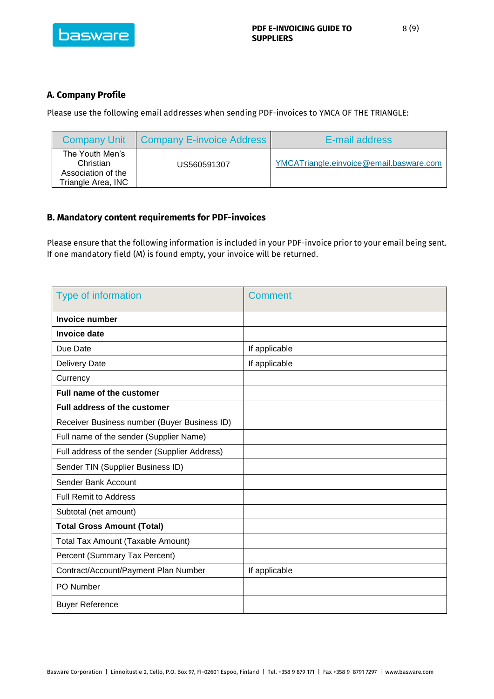

# <span id="page-7-0"></span>**A. Company Profile**

Please use the following email addresses when sending PDF-invoices to YMCA OF THE TRIANGLE:

| <b>Company Unit</b>                                                      | <b>Company E-invoice Address</b> | E-mail address                          |
|--------------------------------------------------------------------------|----------------------------------|-----------------------------------------|
| The Youth Men's<br>Christian<br>Association of the<br>Triangle Area, INC | US560591307                      | YMCATriangle.einvoice@email.basware.com |

# <span id="page-7-1"></span>**B. Mandatory content requirements for PDF-invoices**

Please ensure that the following information is included in your PDF-invoice prior to your email being sent. If one mandatory field (M) is found empty, your invoice will be returned.

| Type of information                           | <b>Comment</b> |
|-----------------------------------------------|----------------|
| <b>Invoice number</b>                         |                |
| <b>Invoice date</b>                           |                |
| Due Date                                      | If applicable  |
| <b>Delivery Date</b>                          | If applicable  |
| Currency                                      |                |
| Full name of the customer                     |                |
| <b>Full address of the customer</b>           |                |
| Receiver Business number (Buyer Business ID)  |                |
| Full name of the sender (Supplier Name)       |                |
| Full address of the sender (Supplier Address) |                |
| Sender TIN (Supplier Business ID)             |                |
| Sender Bank Account                           |                |
| <b>Full Remit to Address</b>                  |                |
| Subtotal (net amount)                         |                |
| <b>Total Gross Amount (Total)</b>             |                |
| <b>Total Tax Amount (Taxable Amount)</b>      |                |
| Percent (Summary Tax Percent)                 |                |
| Contract/Account/Payment Plan Number          | If applicable  |
| PO Number                                     |                |
| <b>Buyer Reference</b>                        |                |